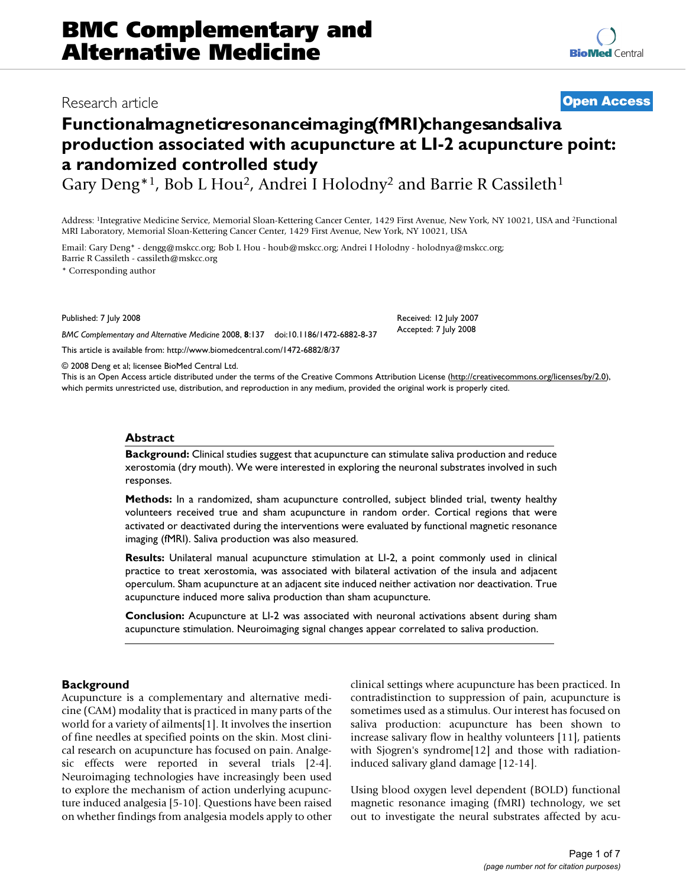# Research article **[Open Access](http://www.biomedcentral.com/info/about/charter/)**

# **Functional magnetic resonance imaging (MRI) changes and salivally a production associated with acupuncture at LI-2 acupuncture point: a randomized controlled study**

Gary Deng<sup>\*1</sup>, Bob L Hou<sup>2</sup>, Andrei I Holodny<sup>2</sup> and Barrie R Cassileth<sup>1</sup>

Address: 1Integrative Medicine Service, Memorial Sloan-Kettering Cancer Center, 1429 First Avenue, New York, NY 10021, USA and 2Functional MRI Laboratory, Memorial Sloan-Kettering Cancer Center, 1429 First Avenue, New York, NY 10021, USA

Email: Gary Deng\* - dengg@mskcc.org; Bob L Hou - houb@mskcc.org; Andrei I Holodny - holodnya@mskcc.org; Barrie R Cassileth - cassileth@mskcc.org

\* Corresponding author

Published: 7 July 2008

*BMC Complementary and Alternative Medicine* 2008, **8**:137 doi:10.1186/1472-6882-8-37

[This article is available from: http://www.biomedcentral.com/1472-6882/8/37](http://www.biomedcentral.com/1472-6882/8/37)

© 2008 Deng et al; licensee BioMed Central Ltd.

This is an Open Access article distributed under the terms of the Creative Commons Attribution License [\(http://creativecommons.org/licenses/by/2.0\)](http://creativecommons.org/licenses/by/2.0), which permits unrestricted use, distribution, and reproduction in any medium, provided the original work is properly cited.

Received: 12 July 2007 Accepted: 7 July 2008

### **Abstract**

**Background:** Clinical studies suggest that acupuncture can stimulate saliva production and reduce xerostomia (dry mouth). We were interested in exploring the neuronal substrates involved in such responses.

**Methods:** In a randomized, sham acupuncture controlled, subject blinded trial, twenty healthy volunteers received true and sham acupuncture in random order. Cortical regions that were activated or deactivated during the interventions were evaluated by functional magnetic resonance imaging (fMRI). Saliva production was also measured.

**Results:** Unilateral manual acupuncture stimulation at LI-2, a point commonly used in clinical practice to treat xerostomia, was associated with bilateral activation of the insula and adjacent operculum. Sham acupuncture at an adjacent site induced neither activation nor deactivation. True acupuncture induced more saliva production than sham acupuncture.

**Conclusion:** Acupuncture at LI-2 was associated with neuronal activations absent during sham acupuncture stimulation. Neuroimaging signal changes appear correlated to saliva production.

# **Background**

Acupuncture is a complementary and alternative medicine (CAM) modality that is practiced in many parts of the world for a variety of ailments[1]. It involves the insertion of fine needles at specified points on the skin. Most clinical research on acupuncture has focused on pain. Analgesic effects were reported in several trials [2-4]. Neuroimaging technologies have increasingly been used to explore the mechanism of action underlying acupuncture induced analgesia [5-10]. Questions have been raised on whether findings from analgesia models apply to other clinical settings where acupuncture has been practiced. In contradistinction to suppression of pain, acupuncture is sometimes used as a stimulus. Our interest has focused on saliva production: acupuncture has been shown to increase salivary flow in healthy volunteers [11], patients with Sjogren's syndrome[12] and those with radiationinduced salivary gland damage [12-14].

Using blood oxygen level dependent (BOLD) functional magnetic resonance imaging (fMRI) technology, we set out to investigate the neural substrates affected by acu-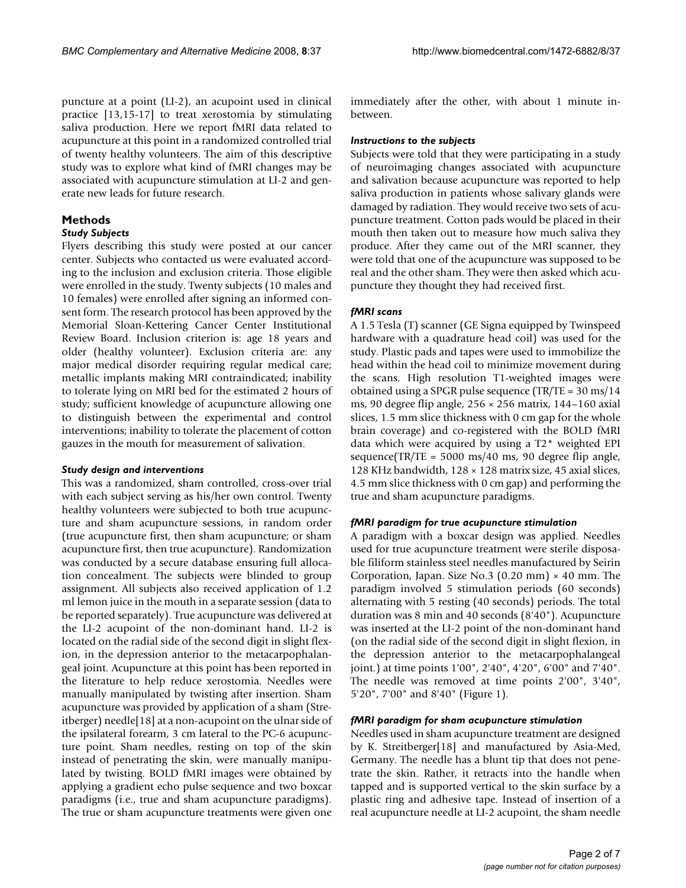puncture at a point (LI-2), an acupoint used in clinical practice [13,15-17] to treat xerostomia by stimulating saliva production. Here we report fMRI data related to acupuncture at this point in a randomized controlled trial of twenty healthy volunteers. The aim of this descriptive study was to explore what kind of fMRI changes may be associated with acupuncture stimulation at LI-2 and generate new leads for future research.

# **Methods**

#### *Study Subjects*

Flyers describing this study were posted at our cancer center. Subjects who contacted us were evaluated according to the inclusion and exclusion criteria. Those eligible were enrolled in the study. Twenty subjects (10 males and 10 females) were enrolled after signing an informed consent form. The research protocol has been approved by the Memorial Sloan-Kettering Cancer Center Institutional Review Board. Inclusion criterion is: age 18 years and older (healthy volunteer). Exclusion criteria are: any major medical disorder requiring regular medical care; metallic implants making MRI contraindicated; inability to tolerate lying on MRI bed for the estimated 2 hours of study; sufficient knowledge of acupuncture allowing one to distinguish between the experimental and control interventions; inability to tolerate the placement of cotton gauzes in the mouth for measurement of salivation.

#### *Study design and interventions*

This was a randomized, sham controlled, cross-over trial with each subject serving as his/her own control. Twenty healthy volunteers were subjected to both true acupuncture and sham acupuncture sessions, in random order (true acupuncture first, then sham acupuncture; or sham acupuncture first, then true acupuncture). Randomization was conducted by a secure database ensuring full allocation concealment. The subjects were blinded to group assignment. All subjects also received application of 1.2 ml lemon juice in the mouth in a separate session (data to be reported separately). True acupuncture was delivered at the LI-2 acupoint of the non-dominant hand. LI-2 is located on the radial side of the second digit in slight flexion, in the depression anterior to the metacarpophalangeal joint. Acupuncture at this point has been reported in the literature to help reduce xerostomia. Needles were manually manipulated by twisting after insertion. Sham acupuncture was provided by application of a sham (Streitberger) needle[18] at a non-acupoint on the ulnar side of the ipsilateral forearm, 3 cm lateral to the PC-6 acupuncture point. Sham needles, resting on top of the skin instead of penetrating the skin, were manually manipulated by twisting. BOLD fMRI images were obtained by applying a gradient echo pulse sequence and two boxcar paradigms (i.e., true and sham acupuncture paradigms). The true or sham acupuncture treatments were given one immediately after the other, with about 1 minute inbetween.

#### *Instructions to the subjects*

Subjects were told that they were participating in a study of neuroimaging changes associated with acupuncture and salivation because acupuncture was reported to help saliva production in patients whose salivary glands were damaged by radiation. They would receive two sets of acupuncture treatment. Cotton pads would be placed in their mouth then taken out to measure how much saliva they produce. After they came out of the MRI scanner, they were told that one of the acupuncture was supposed to be real and the other sham. They were then asked which acupuncture they thought they had received first.

# *fMRI scans*

A 1.5 Tesla (T) scanner (GE Signa equipped by Twinspeed hardware with a quadrature head coil) was used for the study. Plastic pads and tapes were used to immobilize the head within the head coil to minimize movement during the scans. High resolution T1-weighted images were obtained using a SPGR pulse sequence (TR/TE = 30 ms/14 ms, 90 degree flip angle,  $256 \times 256$  matrix, 144–160 axial slices, 1.5 mm slice thickness with 0 cm gap for the whole brain coverage) and co-registered with the BOLD fMRI data which were acquired by using a T2\* weighted EPI sequence(TR/TE =  $5000 \text{ ms}/40 \text{ ms}$ , 90 degree flip angle, 128 KHz bandwidth, 128 × 128 matrix size, 45 axial slices, 4.5 mm slice thickness with 0 cm gap) and performing the true and sham acupuncture paradigms.

# *fMRI paradigm for true acupuncture stimulation*

A paradigm with a boxcar design was applied. Needles used for true acupuncture treatment were sterile disposable filiform stainless steel needles manufactured by Seirin Corporation, Japan. Size No.3  $(0.20 \text{ mm}) \times 40 \text{ mm}$ . The paradigm involved 5 stimulation periods (60 seconds) alternating with 5 resting (40 seconds) periods. The total duration was 8 min and 40 seconds (8'40"). Acupuncture was inserted at the LI-2 point of the non-dominant hand (on the radial side of the second digit in slight flexion, in the depression anterior to the metacarpophalangeal joint.) at time points 1'00", 2'40", 4'20", 6'00" and 7'40". The needle was removed at time points 2'00", 3'40", 5'20", 7'00" and 8'40" (Figure 1).

# *fMRI paradigm for sham acupuncture stimulation*

Needles used in sham acupuncture treatment are designed by K. Streitberger[18] and manufactured by Asia-Med, Germany. The needle has a blunt tip that does not penetrate the skin. Rather, it retracts into the handle when tapped and is supported vertical to the skin surface by a plastic ring and adhesive tape. Instead of insertion of a real acupuncture needle at LI-2 acupoint, the sham needle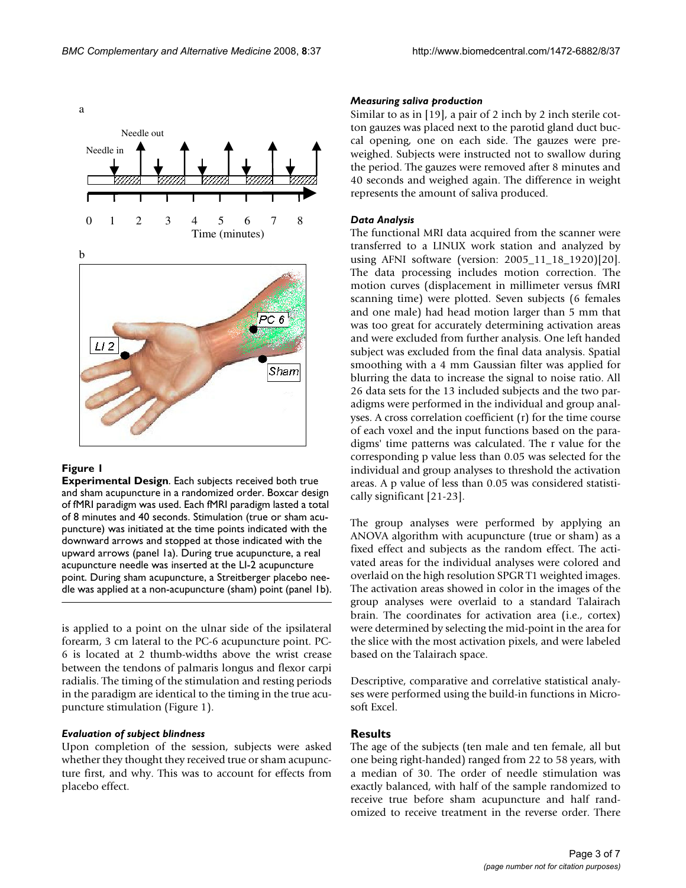

# **Figure 1**

**Experimental Design**. Each subjects received both true and sham acupuncture in a randomized order. Boxcar design of fMRI paradigm was used. Each fMRI paradigm lasted a total of 8 minutes and 40 seconds. Stimulation (true or sham acupuncture) was initiated at the time points indicated with the downward arrows and stopped at those indicated with the upward arrows (panel 1a). During true acupuncture, a real acupuncture needle was inserted at the LI-2 acupuncture point. During sham acupuncture, a Streitberger placebo needle was applied at a non-acupuncture (sham) point (panel 1b).

is applied to a point on the ulnar side of the ipsilateral forearm, 3 cm lateral to the PC-6 acupuncture point. PC-6 is located at 2 thumb-widths above the wrist crease between the tendons of palmaris longus and flexor carpi radialis. The timing of the stimulation and resting periods in the paradigm are identical to the timing in the true acupuncture stimulation (Figure 1).

#### *Evaluation of subject blindness*

Upon completion of the session, subjects were asked whether they thought they received true or sham acupuncture first, and why. This was to account for effects from placebo effect.

#### *Measuring saliva production*

Similar to as in [19], a pair of 2 inch by 2 inch sterile cotton gauzes was placed next to the parotid gland duct buccal opening, one on each side. The gauzes were preweighed. Subjects were instructed not to swallow during the period. The gauzes were removed after 8 minutes and 40 seconds and weighed again. The difference in weight represents the amount of saliva produced.

#### *Data Analysis*

The functional MRI data acquired from the scanner were transferred to a LINUX work station and analyzed by using AFNI software (version: 2005\_11\_18\_1920)[20]. The data processing includes motion correction. The motion curves (displacement in millimeter versus fMRI scanning time) were plotted. Seven subjects (6 females and one male) had head motion larger than 5 mm that was too great for accurately determining activation areas and were excluded from further analysis. One left handed subject was excluded from the final data analysis. Spatial smoothing with a 4 mm Gaussian filter was applied for blurring the data to increase the signal to noise ratio. All 26 data sets for the 13 included subjects and the two paradigms were performed in the individual and group analyses. A cross correlation coefficient (r) for the time course of each voxel and the input functions based on the paradigms' time patterns was calculated. The r value for the corresponding p value less than 0.05 was selected for the individual and group analyses to threshold the activation areas. A p value of less than 0.05 was considered statistically significant [21-23].

The group analyses were performed by applying an ANOVA algorithm with acupuncture (true or sham) as a fixed effect and subjects as the random effect. The activated areas for the individual analyses were colored and overlaid on the high resolution SPGR T1 weighted images. The activation areas showed in color in the images of the group analyses were overlaid to a standard Talairach brain. The coordinates for activation area (i.e., cortex) were determined by selecting the mid-point in the area for the slice with the most activation pixels, and were labeled based on the Talairach space.

Descriptive, comparative and correlative statistical analyses were performed using the build-in functions in Microsoft Excel.

#### **Results**

The age of the subjects (ten male and ten female, all but one being right-handed) ranged from 22 to 58 years, with a median of 30. The order of needle stimulation was exactly balanced, with half of the sample randomized to receive true before sham acupuncture and half randomized to receive treatment in the reverse order. There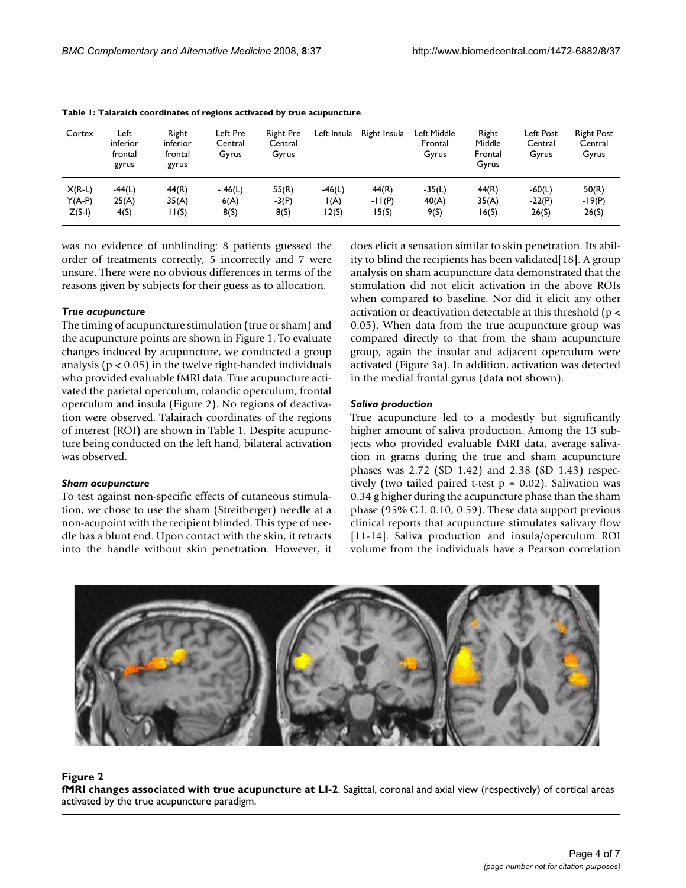| Cortex   | Left<br>inferior<br>frontal<br>gyrus | Right<br>inferior<br>frontal<br>gyrus | Left Pre<br>Central<br>Gyrus | <b>Right Pre</b><br>Central<br>Gyrus | Left Insula | Right Insula | Left Middle<br>Frontal<br>Gyrus | Right<br>Middle<br>Frontal<br>Gyrus | Left Post<br>Central<br>Gyrus | <b>Right Post</b><br>Central<br>Gyrus |
|----------|--------------------------------------|---------------------------------------|------------------------------|--------------------------------------|-------------|--------------|---------------------------------|-------------------------------------|-------------------------------|---------------------------------------|
| $X(R-L)$ | $-44(L)$                             | 44(R)                                 | $-46(L)$                     | 55(R)                                | $-46(L)$    | 44(R)        | $-35(L)$                        | 44(R)                               | $-60(L)$                      | 50(R)                                 |
| $Y(A-P)$ | 25(A)                                | 35(A)                                 | 6(A)                         | $-3(P)$                              | I(A)        | $-11(P)$     | 40(A)                           | 35(A)                               | $-22(P)$                      | $-19(P)$                              |
| $Z(S-I)$ | 4(S)                                 | I(S)                                  | 8(S)                         | 8(S)                                 | 12(S)       | I 5(S)       | 9(S)                            | 16(S)                               | 26(S)                         | 26(S)                                 |

**Table 1: Talaraich coordinates of regions activated by true acupuncture**

was no evidence of unblinding: 8 patients guessed the order of treatments correctly, 5 incorrectly and 7 were unsure. There were no obvious differences in terms of the reasons given by subjects for their guess as to allocation.

#### *True acupuncture*

The timing of acupuncture stimulation (true or sham) and the acupuncture points are shown in Figure 1. To evaluate changes induced by acupuncture, we conducted a group analysis ( $p < 0.05$ ) in the twelve right-handed individuals who provided evaluable fMRI data. True acupuncture activated the parietal operculum, rolandic operculum, frontal operculum and insula (Figure 2). No regions of deactivation were observed. Talairach coordinates of the regions of interest (ROI) are shown in Table 1. Despite acupuncture being conducted on the left hand, bilateral activation was observed.

#### *Sham acupuncture*

To test against non-specific effects of cutaneous stimulation, we chose to use the sham (Streitberger) needle at a non-acupoint with the recipient blinded. This type of needle has a blunt end. Upon contact with the skin, it retracts into the handle without skin penetration. However, it does elicit a sensation similar to skin penetration. Its ability to blind the recipients has been validated[18]. A group analysis on sham acupuncture data demonstrated that the stimulation did not elicit activation in the above ROIs when compared to baseline. Nor did it elicit any other activation or deactivation detectable at this threshold (p < 0.05). When data from the true acupuncture group was compared directly to that from the sham acupuncture group, again the insular and adjacent operculum were activated (Figure 3a). In addition, activation was detected in the medial frontal gyrus (data not shown).

#### *Saliva production*

True acupuncture led to a modestly but significantly higher amount of saliva production. Among the 13 subjects who provided evaluable fMRI data, average salivation in grams during the true and sham acupuncture phases was 2.72 (SD 1.42) and 2.38 (SD 1.43) respectively (two tailed paired t-test  $p = 0.02$ ). Salivation was 0.34 g higher during the acupuncture phase than the sham phase (95% C.I. 0.10, 0.59). These data support previous clinical reports that acupuncture stimulates salivary flow [11-14]. Saliva production and insula/operculum ROI volume from the individuals have a Pearson correlation



#### **Figure 2**

**fMRI changes associated with true acupuncture at LI-2**. Sagittal, coronal and axial view (respectively) of cortical areas activated by the true acupuncture paradigm.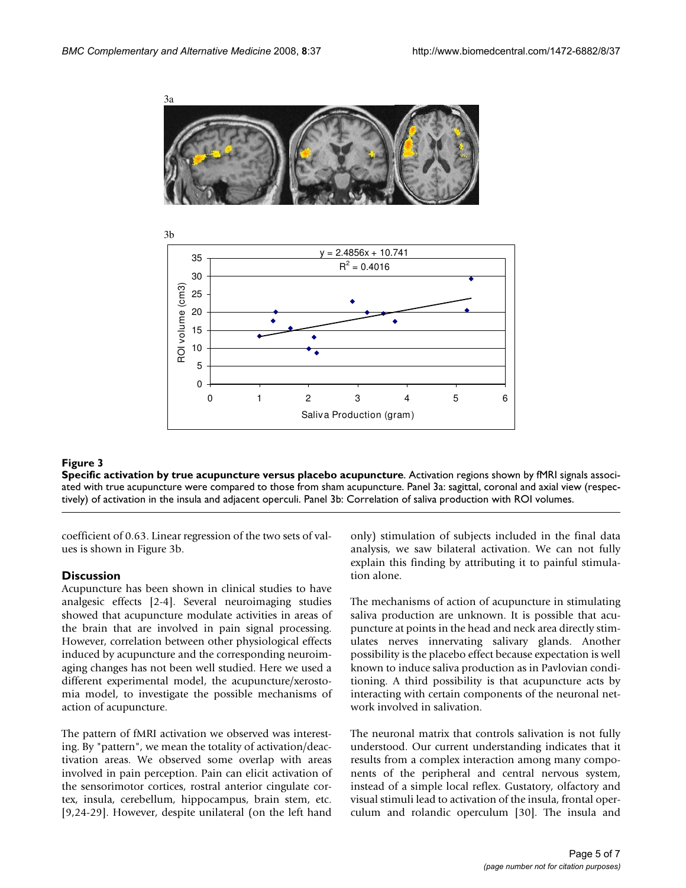



# **Figure 3**

**Specific activation by true acupuncture versus placebo acupuncture**. Activation regions shown by fMRI signals associated with true acupuncture were compared to those from sham acupuncture. Panel 3a: sagittal, coronal and axial view (respectively) of activation in the insula and adjacent operculi. Panel 3b: Correlation of saliva production with ROI volumes.

coefficient of 0.63. Linear regression of the two sets of values is shown in Figure 3b.

# **Discussion**

Acupuncture has been shown in clinical studies to have analgesic effects [2-4]. Several neuroimaging studies showed that acupuncture modulate activities in areas of the brain that are involved in pain signal processing. However, correlation between other physiological effects induced by acupuncture and the corresponding neuroimaging changes has not been well studied. Here we used a different experimental model, the acupuncture/xerostomia model, to investigate the possible mechanisms of action of acupuncture.

The pattern of fMRI activation we observed was interesting. By "pattern", we mean the totality of activation/deactivation areas. We observed some overlap with areas involved in pain perception. Pain can elicit activation of the sensorimotor cortices, rostral anterior cingulate cortex, insula, cerebellum, hippocampus, brain stem, etc. [9,24-29]. However, despite unilateral (on the left hand only) stimulation of subjects included in the final data analysis, we saw bilateral activation. We can not fully explain this finding by attributing it to painful stimulation alone.

The mechanisms of action of acupuncture in stimulating saliva production are unknown. It is possible that acupuncture at points in the head and neck area directly stimulates nerves innervating salivary glands. Another possibility is the placebo effect because expectation is well known to induce saliva production as in Pavlovian conditioning. A third possibility is that acupuncture acts by interacting with certain components of the neuronal network involved in salivation.

The neuronal matrix that controls salivation is not fully understood. Our current understanding indicates that it results from a complex interaction among many components of the peripheral and central nervous system, instead of a simple local reflex. Gustatory, olfactory and visual stimuli lead to activation of the insula, frontal operculum and rolandic operculum [30]. The insula and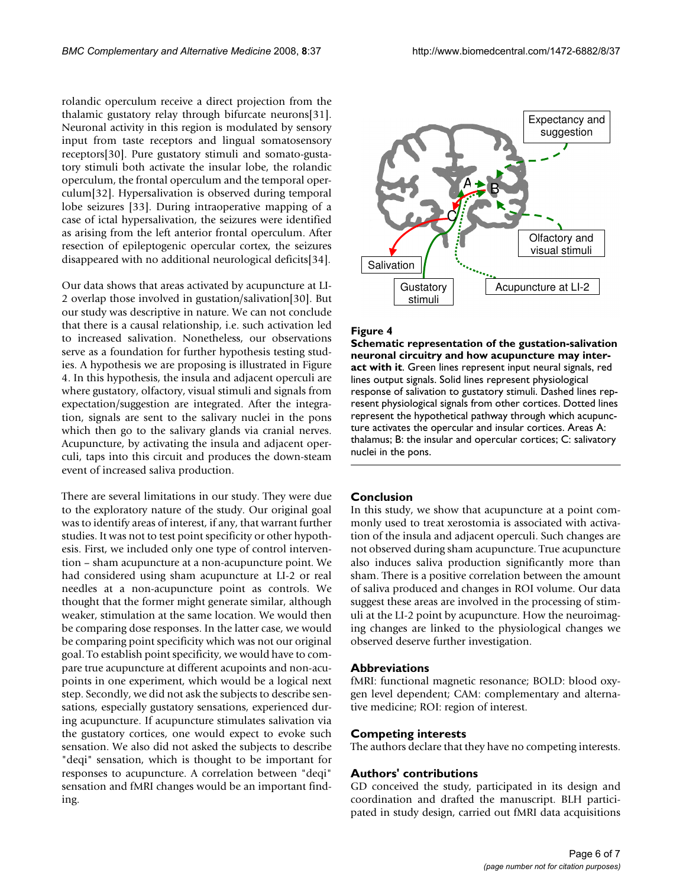rolandic operculum receive a direct projection from the thalamic gustatory relay through bifurcate neurons[31]. Neuronal activity in this region is modulated by sensory input from taste receptors and lingual somatosensory receptors[30]. Pure gustatory stimuli and somato-gustatory stimuli both activate the insular lobe, the rolandic operculum, the frontal operculum and the temporal operculum[32]. Hypersalivation is observed during temporal lobe seizures [33]. During intraoperative mapping of a case of ictal hypersalivation, the seizures were identified as arising from the left anterior frontal operculum. After resection of epileptogenic opercular cortex, the seizures disappeared with no additional neurological deficits[34].

Our data shows that areas activated by acupuncture at LI-2 overlap those involved in gustation/salivation[30]. But our study was descriptive in nature. We can not conclude that there is a causal relationship, i.e. such activation led to increased salivation. Nonetheless, our observations serve as a foundation for further hypothesis testing studies. A hypothesis we are proposing is illustrated in Figure 4. In this hypothesis, the insula and adjacent operculi are where gustatory, olfactory, visual stimuli and signals from expectation/suggestion are integrated. After the integration, signals are sent to the salivary nuclei in the pons which then go to the salivary glands via cranial nerves. Acupuncture, by activating the insula and adjacent operculi, taps into this circuit and produces the down-steam event of increased saliva production.

There are several limitations in our study. They were due to the exploratory nature of the study. Our original goal was to identify areas of interest, if any, that warrant further studies. It was not to test point specificity or other hypothesis. First, we included only one type of control intervention – sham acupuncture at a non-acupuncture point. We had considered using sham acupuncture at LI-2 or real needles at a non-acupuncture point as controls. We thought that the former might generate similar, although weaker, stimulation at the same location. We would then be comparing dose responses. In the latter case, we would be comparing point specificity which was not our original goal. To establish point specificity, we would have to compare true acupuncture at different acupoints and non-acupoints in one experiment, which would be a logical next step. Secondly, we did not ask the subjects to describe sensations, especially gustatory sensations, experienced during acupuncture. If acupuncture stimulates salivation via the gustatory cortices, one would expect to evoke such sensation. We also did not asked the subjects to describe "deqi" sensation, which is thought to be important for responses to acupuncture. A correlation between "deqi" sensation and fMRI changes would be an important finding.



#### Figure 4

**Schematic representation of the gustation-salivation neuronal circuitry and how acupuncture may interact with it**. Green lines represent input neural signals, red lines output signals. Solid lines represent physiological response of salivation to gustatory stimuli. Dashed lines represent physiological signals from other cortices. Dotted lines represent the hypothetical pathway through which acupuncture activates the opercular and insular cortices. Areas A: thalamus; B: the insular and opercular cortices; C: salivatory nuclei in the pons.

# **Conclusion**

In this study, we show that acupuncture at a point commonly used to treat xerostomia is associated with activation of the insula and adjacent operculi. Such changes are not observed during sham acupuncture. True acupuncture also induces saliva production significantly more than sham. There is a positive correlation between the amount of saliva produced and changes in ROI volume. Our data suggest these areas are involved in the processing of stimuli at the LI-2 point by acupuncture. How the neuroimaging changes are linked to the physiological changes we observed deserve further investigation.

#### **Abbreviations**

fMRI: functional magnetic resonance; BOLD: blood oxygen level dependent; CAM: complementary and alternative medicine; ROI: region of interest.

#### **Competing interests**

The authors declare that they have no competing interests.

#### **Authors' contributions**

GD conceived the study, participated in its design and coordination and drafted the manuscript. BLH participated in study design, carried out fMRI data acquisitions